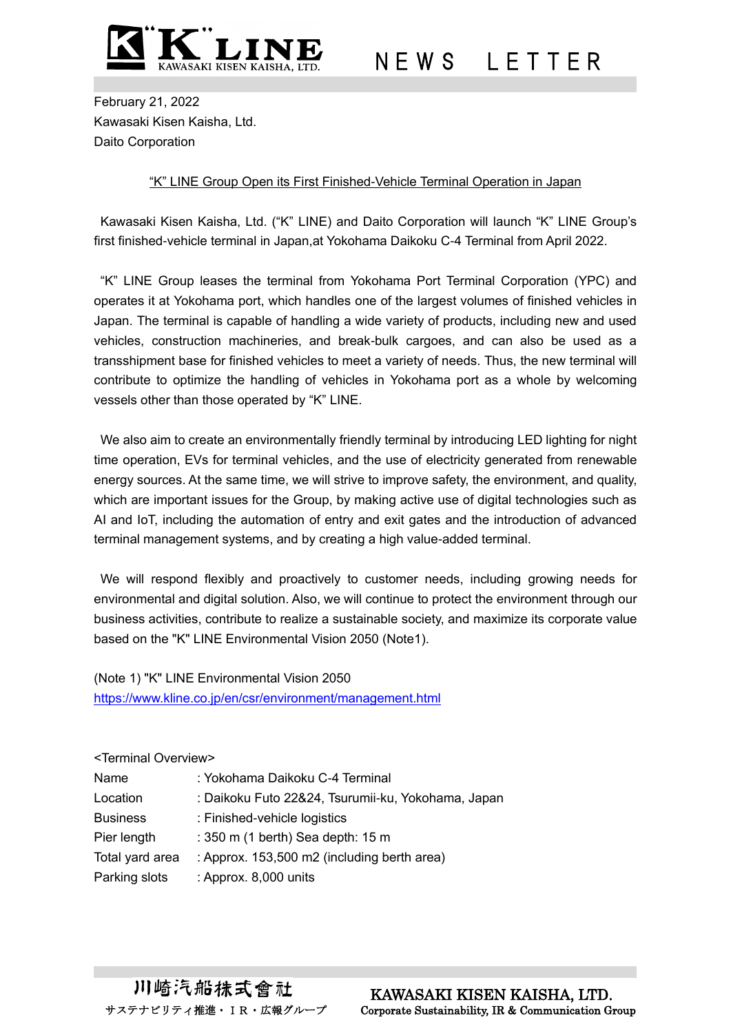

N E W S L E T T E R

February 21, 2022 Kawasaki Kisen Kaisha, Ltd. Daito Corporation

## "K" LINE Group Open its First Finished-Vehicle Terminal Operation in Japan

Kawasaki Kisen Kaisha, Ltd. ("K" LINE) and Daito Corporation will launch "K" LINE Group's first finished-vehicle terminal in Japan,at Yokohama Daikoku C-4 Terminal from April 2022.

"K" LINE Group leases the terminal from Yokohama Port Terminal Corporation (YPC) and operates it at Yokohama port, which handles one of the largest volumes of finished vehicles in Japan. The terminal is capable of handling a wide variety of products, including new and used vehicles, construction machineries, and break-bulk cargoes, and can also be used as a transshipment base for finished vehicles to meet a variety of needs. Thus, the new terminal will contribute to optimize the handling of vehicles in Yokohama port as a whole by welcoming vessels other than those operated by "K" LINE.

We also aim to create an environmentally friendly terminal by introducing LED lighting for night time operation, EVs for terminal vehicles, and the use of electricity generated from renewable energy sources. At the same time, we will strive to improve safety, the environment, and quality, which are important issues for the Group, by making active use of digital technologies such as AI and IoT, including the automation of entry and exit gates and the introduction of advanced terminal management systems, and by creating a high value-added terminal.

We will respond flexibly and proactively to customer needs, including growing needs for environmental and digital solution. Also, we will continue to protect the environment through our business activities, contribute to realize a sustainable society, and maximize its corporate value based on the "K" LINE Environmental Vision 2050 (Note1).

(Note 1) "K" LINE Environmental Vision 2050 <https://www.kline.co.jp/en/csr/environment/management.html>

## <Terminal Overview> Name : Yokohama Daikoku C-4 Terminal Location : Daikoku Futo 22&24, Tsurumii-ku, Yokohama, Japan Business : Finished-vehicle logistics Pier length : 350 m (1 berth) Sea depth: 15 m Total yard area : Approx. 153,500 m2 (including berth area) Parking slots : Approx. 8,000 units